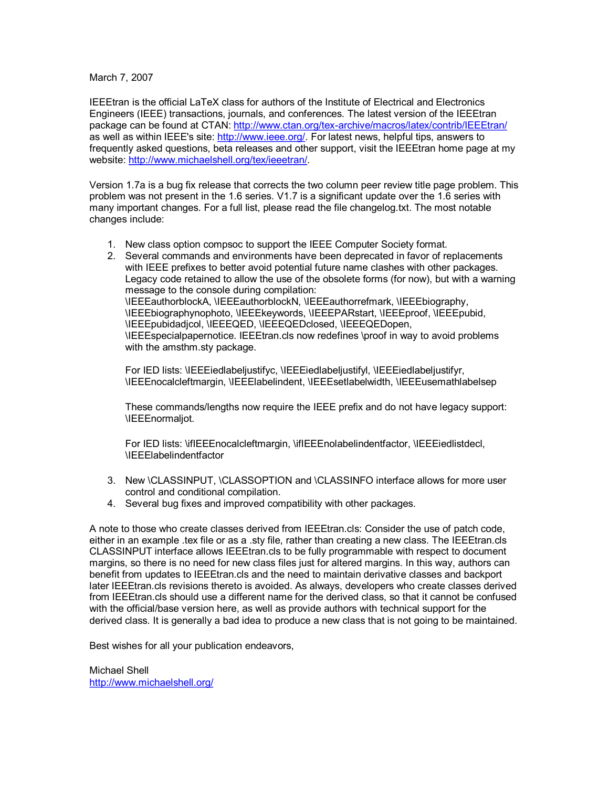## March 7, 2007

IEEEtran is the official LaTeX class for authors of the Institute of Electrical and Electronics Engineers (IEEE) transactions, journals, and conferences. The latest version of the IEEEtran package can be found at CTAN: http://www.ctan.org/tex-archive/macros/latex/contrib/IEEEtran/ as well as within IEEE's site: [http://www.ieee.org/.](http://www.ieee.org/) For latest news, helpful tips, answers to frequently asked questions, beta releases and other support, visit the IEEEtran home page at my website: [http://www.michaelshell.org/tex/ieeetran/.](http://www.michaelshell.org/tex/ieeetran/)

Version 1.7a is a bug fix release that corrects the two column peer review title page problem. This problem was not present in the 1.6 series. V1.7 is a significant update over the 1.6 series with many important changes. For a full list, please read the file changelog.txt. The most notable changes include:

- 1. New class option compsoc to support the IEEE Computer Society format.
- 2. Several commands and environments have been deprecated in favor of replacements with IEEE prefixes to better avoid potential future name clashes with other packages. Legacy code retained to allow the use of the obsolete forms (for now), but with a warning message to the console during compilation: \IEEEauthorblockA, \IEEEauthorblockN, \IEEEauthorrefmark, \IEEEbiography, \IEEEbiographynophoto, \IEEEkeywords, \IEEEPARstart, \IEEEproof, \IEEEpubid, \IEEEpubidadjcol, \IEEEQED, \IEEEQEDclosed, \IEEEQEDopen, \IEEEspecialpapernotice. IEEEtran.cls now redefines \proof in way to avoid problems with the amsthm.sty package.

For IED lists: \IEEEiedlabeljustifyc, \IEEEiedlabeljustifyl, \IEEEiedlabeljustifyr, \IEEEnocalcleftmargin, \IEEElabelindent, \IEEEsetlabelwidth, \IEEEusemathlabelsep

These commands/lengths now require the IEEE prefix and do not have legacy support: \IEEEnormaljot.

For IED lists: \ifIEEEnocalcleftmargin, \ifIEEEnolabelindentfactor, \IEEEiedlistdecl, \IEEElabelindentfactor

- 3. New \CLASSINPUT, \CLASSOPTION and \CLASSINFO interface allows for more user control and conditional compilation.
- 4. Several bug fixes and improved compatibility with other packages.

A note to those who create classes derived from IEEEtran.cls: Consider the use of patch code, either in an example .tex file or as a .sty file, rather than creating a new class. The IEEEtran.cls CLASSINPUT interface allows IEEEtran.cls to be fully programmable with respect to document margins, so there is no need for new class files just for altered margins. In this way, authors can benefit from updates to IEEEtran.cls and the need to maintain derivative classes and backport later IEEEtran.cls revisions thereto is avoided. As always, developers who create classes derived from IEEEtran.cls should use a different name for the derived class, so that it cannot be confused with the official/base version here, as well as provide authors with technical support for the derived class. It is generally a bad idea to produce a new class that is not going to be maintained.

Best wishes for all your publication endeavors,

Michael Shell <http://www.michaelshell.org/>